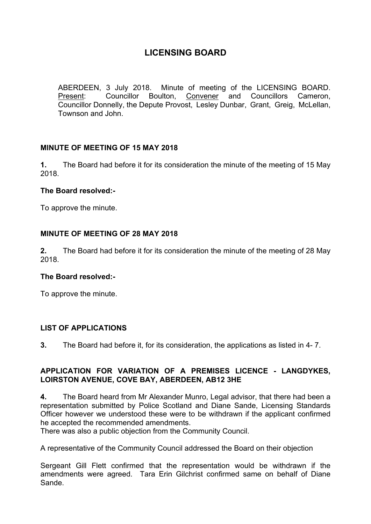ABERDEEN, 3 July 2018. Minute of meeting of the LICENSING BOARD. Present: Councillor Boulton, Convener and Councillors Cameron, Councillor Donnelly, the Depute Provost, Lesley Dunbar, Grant, Greig, McLellan, Townson and John.

# **MINUTE OF MEETING OF 15 MAY 2018**

**1.** The Board had before it for its consideration the minute of the meeting of 15 May 2018.

#### **The Board resolved:-**

To approve the minute.

### **MINUTE OF MEETING OF 28 MAY 2018**

**2.** The Board had before it for its consideration the minute of the meeting of 28 May 2018.

#### **The Board resolved:-**

To approve the minute.

# **LIST OF APPLICATIONS**

**3.** The Board had before it, for its consideration, the applications as listed in 4- 7.

#### **APPLICATION FOR VARIATION OF A PREMISES LICENCE - LANGDYKES, LOIRSTON AVENUE, COVE BAY, ABERDEEN, AB12 3HE**

**4.** The Board heard from Mr Alexander Munro, Legal advisor, that there had been a representation submitted by Police Scotland and Diane Sande, Licensing Standards Officer however we understood these were to be withdrawn if the applicant confirmed he accepted the recommended amendments.

There was also a public objection from the Community Council.

A representative of the Community Council addressed the Board on their objection

Sergeant Gill Flett confirmed that the representation would be withdrawn if the amendments were agreed. Tara Erin Gilchrist confirmed same on behalf of Diane Sande.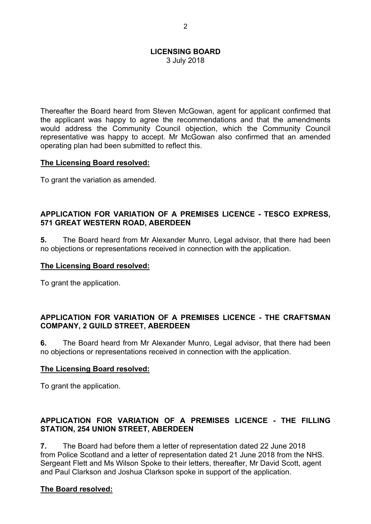3 July 2018

Thereafter the Board heard from Steven McGowan, agent for applicant confirmed that the applicant was happy to agree the recommendations and that the amendments would address the Community Council objection, which the Community Council representative was happy to accept. Mr McGowan also confirmed that an amended operating plan had been submitted to reflect this.

### **The Licensing Board resolved:**

To grant the variation as amended.

# **APPLICATION FOR VARIATION OF A PREMISES LICENCE - TESCO EXPRESS, 571 GREAT WESTERN ROAD, ABERDEEN**

**5.** The Board heard from Mr Alexander Munro, Legal advisor, that there had been no objections or representations received in connection with the application.

## **The Licensing Board resolved:**

To grant the application.

### **APPLICATION FOR VARIATION OF A PREMISES LICENCE - THE CRAFTSMAN COMPANY, 2 GUILD STREET, ABERDEEN**

**6.** The Board heard from Mr Alexander Munro, Legal advisor, that there had been no objections or representations received in connection with the application.

# **The Licensing Board resolved:**

To grant the application.

# **APPLICATION FOR VARIATION OF A PREMISES LICENCE - THE FILLING STATION, 254 UNION STREET, ABERDEEN**

**7.** The Board had before them a letter of representation dated 22 June 2018 from Police Scotland and a letter of representation dated 21 June 2018 from the NHS. Sergeant Flett and Ms Wilson Spoke to their letters, thereafter, Mr David Scott, agent and Paul Clarkson and Joshua Clarkson spoke in support of the application.

# **The Board resolved:**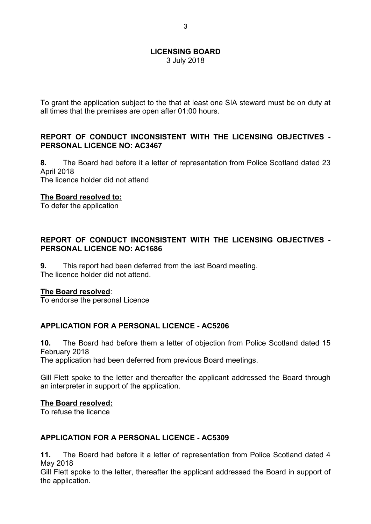3 July 2018

To grant the application subject to the that at least one SIA steward must be on duty at all times that the premises are open after 01:00 hours.

## **REPORT OF CONDUCT INCONSISTENT WITH THE LICENSING OBJECTIVES - PERSONAL LICENCE NO: AC3467**

**8.** The Board had before it a letter of representation from Police Scotland dated 23 April 2018 The licence holder did not attend

#### **The Board resolved to:**

To defer the application

### **REPORT OF CONDUCT INCONSISTENT WITH THE LICENSING OBJECTIVES - PERSONAL LICENCE NO: AC1686**

**9.** This report had been deferred from the last Board meeting. The licence holder did not attend.

#### **The Board resolved**:

To endorse the personal Licence

# **APPLICATION FOR A PERSONAL LICENCE - AC5206**

**10.** The Board had before them a letter of objection from Police Scotland dated 15 February 2018

The application had been deferred from previous Board meetings.

Gill Flett spoke to the letter and thereafter the applicant addressed the Board through an interpreter in support of the application.

#### **The Board resolved:**

To refuse the licence

#### **APPLICATION FOR A PERSONAL LICENCE - AC5309**

**11.** The Board had before it a letter of representation from Police Scotland dated 4 May 2018

Gill Flett spoke to the letter, thereafter the applicant addressed the Board in support of the application.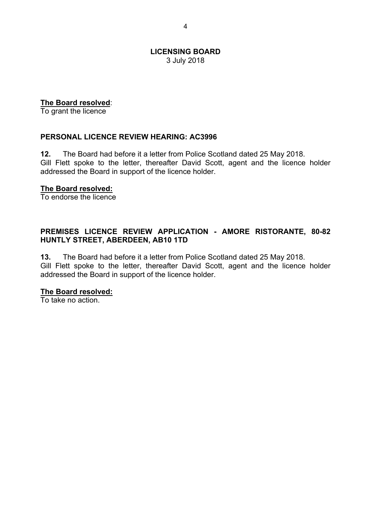3 July 2018

### **The Board resolved**:

To grant the licence

### **PERSONAL LICENCE REVIEW HEARING: AC3996**

**12.** The Board had before it a letter from Police Scotland dated 25 May 2018. Gill Flett spoke to the letter, thereafter David Scott, agent and the licence holder addressed the Board in support of the licence holder.

#### **The Board resolved:**

To endorse the licence

#### **PREMISES LICENCE REVIEW APPLICATION - AMORE RISTORANTE, 80-82 HUNTLY STREET, ABERDEEN, AB10 1TD**

**13.** The Board had before it a letter from Police Scotland dated 25 May 2018. Gill Flett spoke to the letter, thereafter David Scott, agent and the licence holder addressed the Board in support of the licence holder.

#### **The Board resolved:**

To take no action.